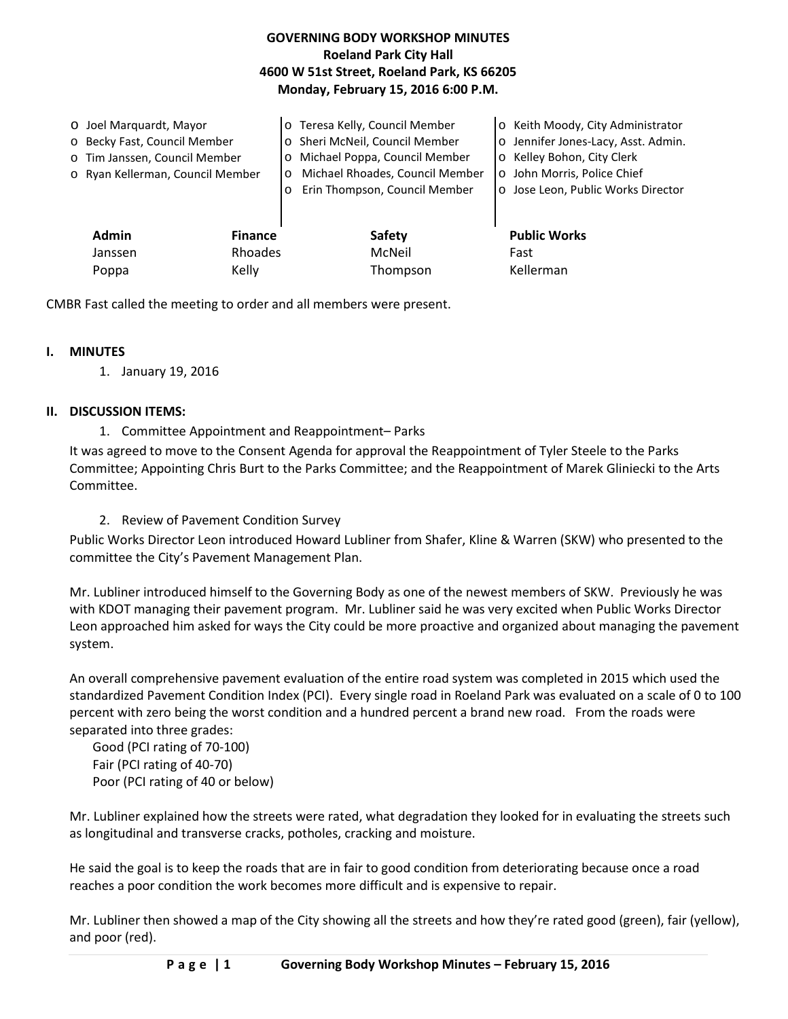| <b>GOVERNING BODY WORKSHOP MINUTES</b>     |
|--------------------------------------------|
| <b>Roeland Park City Hall</b>              |
| 4600 W 51st Street, Roeland Park, KS 66205 |
| Monday, February 15, 2016 6:00 P.M.        |

| O Joel Marquardt, Mayor<br>o Becky Fast, Council Member<br>o Tim Janssen, Council Member<br>o Ryan Kellerman, Council Member |                           | o Teresa Kelly, Council Member<br>o Sheri McNeil, Council Member<br>Michael Poppa, Council Member<br>$\circ$<br>Michael Rhoades, Council Member<br>$\circ$<br>Erin Thompson, Council Member<br>$\circ$ | o Keith Moody, City Administrator<br>o Jennifer Jones-Lacy, Asst. Admin.<br>o Kelley Bohon, City Clerk<br>o John Morris, Police Chief<br>o Jose Leon, Public Works Director |
|------------------------------------------------------------------------------------------------------------------------------|---------------------------|--------------------------------------------------------------------------------------------------------------------------------------------------------------------------------------------------------|-----------------------------------------------------------------------------------------------------------------------------------------------------------------------------|
| <b>Admin</b><br>Janssen                                                                                                      | <b>Finance</b><br>Rhoades | <b>Safety</b><br>McNeil                                                                                                                                                                                | <b>Public Works</b><br>Fast                                                                                                                                                 |
| Poppa                                                                                                                        | Kelly                     | Thompson                                                                                                                                                                                               | Kellerman                                                                                                                                                                   |

CMBR Fast called the meeting to order and all members were present.

## **I. MINUTES**

1. January 19, 2016

## **II. DISCUSSION ITEMS:**

1. Committee Appointment and Reappointment– Parks

It was agreed to move to the Consent Agenda for approval the Reappointment of Tyler Steele to the Parks Committee; Appointing Chris Burt to the Parks Committee; and the Reappointment of Marek Gliniecki to the Arts Committee.

# 2. Review of Pavement Condition Survey

Public Works Director Leon introduced Howard Lubliner from Shafer, Kline & Warren (SKW) who presented to the committee the City's Pavement Management Plan.

Mr. Lubliner introduced himself to the Governing Body as one of the newest members of SKW. Previously he was with KDOT managing their pavement program. Mr. Lubliner said he was very excited when Public Works Director Leon approached him asked for ways the City could be more proactive and organized about managing the pavement system.

An overall comprehensive pavement evaluation of the entire road system was completed in 2015 which used the standardized Pavement Condition Index (PCI). Every single road in Roeland Park was evaluated on a scale of 0 to 100 percent with zero being the worst condition and a hundred percent a brand new road. From the roads were separated into three grades:

Good (PCI rating of 70-100) Fair (PCI rating of 40-70) Poor (PCI rating of 40 or below)

Mr. Lubliner explained how the streets were rated, what degradation they looked for in evaluating the streets such as longitudinal and transverse cracks, potholes, cracking and moisture.

He said the goal is to keep the roads that are in fair to good condition from deteriorating because once a road reaches a poor condition the work becomes more difficult and is expensive to repair.

Mr. Lubliner then showed a map of the City showing all the streets and how they're rated good (green), fair (yellow), and poor (red).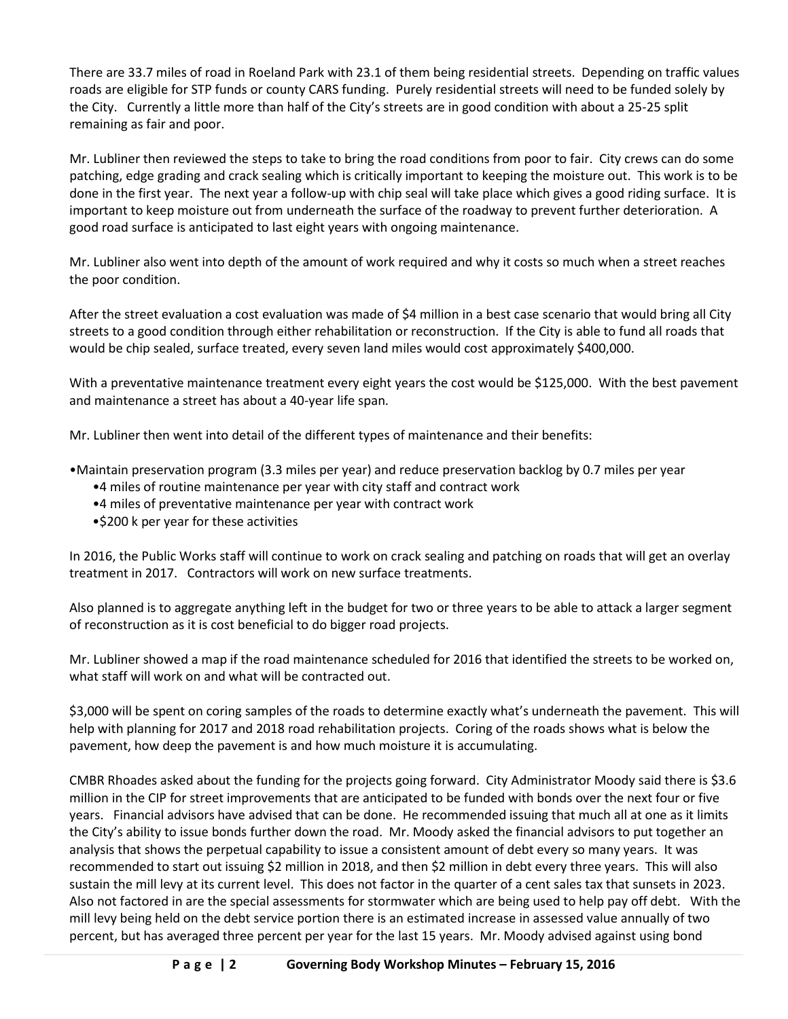There are 33.7 miles of road in Roeland Park with 23.1 of them being residential streets. Depending on traffic values roads are eligible for STP funds or county CARS funding. Purely residential streets will need to be funded solely by the City. Currently a little more than half of the City's streets are in good condition with about a 25-25 split remaining as fair and poor.

Mr. Lubliner then reviewed the steps to take to bring the road conditions from poor to fair. City crews can do some patching, edge grading and crack sealing which is critically important to keeping the moisture out. This work is to be done in the first year. The next year a follow-up with chip seal will take place which gives a good riding surface. It is important to keep moisture out from underneath the surface of the roadway to prevent further deterioration. A good road surface is anticipated to last eight years with ongoing maintenance.

Mr. Lubliner also went into depth of the amount of work required and why it costs so much when a street reaches the poor condition.

After the street evaluation a cost evaluation was made of \$4 million in a best case scenario that would bring all City streets to a good condition through either rehabilitation or reconstruction. If the City is able to fund all roads that would be chip sealed, surface treated, every seven land miles would cost approximately \$400,000.

With a preventative maintenance treatment every eight years the cost would be \$125,000. With the best pavement and maintenance a street has about a 40-year life span.

Mr. Lubliner then went into detail of the different types of maintenance and their benefits:

- •Maintain preservation program (3.3 miles per year) and reduce preservation backlog by 0.7 miles per year
	- •4 miles of routine maintenance per year with city staff and contract work
	- •4 miles of preventative maintenance per year with contract work
	- •\$200 k per year for these activities

In 2016, the Public Works staff will continue to work on crack sealing and patching on roads that will get an overlay treatment in 2017. Contractors will work on new surface treatments.

Also planned is to aggregate anything left in the budget for two or three years to be able to attack a larger segment of reconstruction as it is cost beneficial to do bigger road projects.

Mr. Lubliner showed a map if the road maintenance scheduled for 2016 that identified the streets to be worked on, what staff will work on and what will be contracted out.

\$3,000 will be spent on coring samples of the roads to determine exactly what's underneath the pavement. This will help with planning for 2017 and 2018 road rehabilitation projects. Coring of the roads shows what is below the pavement, how deep the pavement is and how much moisture it is accumulating.

CMBR Rhoades asked about the funding for the projects going forward. City Administrator Moody said there is \$3.6 million in the CIP for street improvements that are anticipated to be funded with bonds over the next four or five years. Financial advisors have advised that can be done. He recommended issuing that much all at one as it limits the City's ability to issue bonds further down the road. Mr. Moody asked the financial advisors to put together an analysis that shows the perpetual capability to issue a consistent amount of debt every so many years. It was recommended to start out issuing \$2 million in 2018, and then \$2 million in debt every three years. This will also sustain the mill levy at its current level. This does not factor in the quarter of a cent sales tax that sunsets in 2023. Also not factored in are the special assessments for stormwater which are being used to help pay off debt. With the mill levy being held on the debt service portion there is an estimated increase in assessed value annually of two percent, but has averaged three percent per year for the last 15 years. Mr. Moody advised against using bond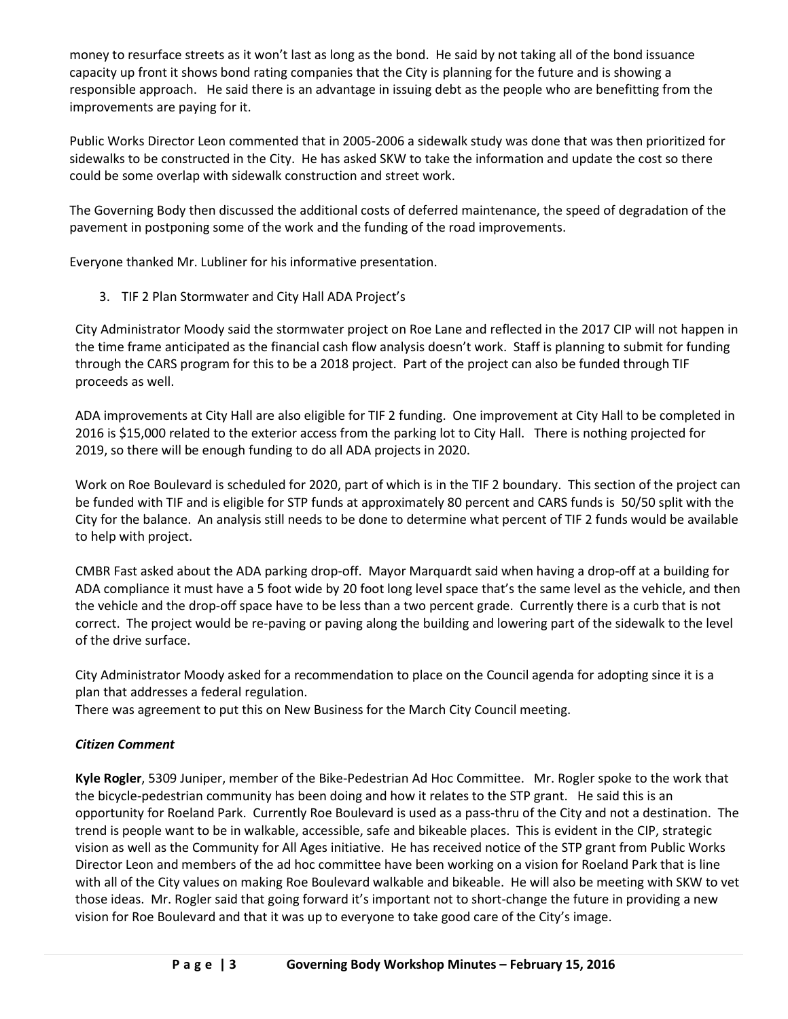money to resurface streets as it won't last as long as the bond. He said by not taking all of the bond issuance capacity up front it shows bond rating companies that the City is planning for the future and is showing a responsible approach. He said there is an advantage in issuing debt as the people who are benefitting from the improvements are paying for it.

Public Works Director Leon commented that in 2005-2006 a sidewalk study was done that was then prioritized for sidewalks to be constructed in the City. He has asked SKW to take the information and update the cost so there could be some overlap with sidewalk construction and street work.

The Governing Body then discussed the additional costs of deferred maintenance, the speed of degradation of the pavement in postponing some of the work and the funding of the road improvements.

Everyone thanked Mr. Lubliner for his informative presentation.

3. TIF 2 Plan Stormwater and City Hall ADA Project's

City Administrator Moody said the stormwater project on Roe Lane and reflected in the 2017 CIP will not happen in the time frame anticipated as the financial cash flow analysis doesn't work. Staff is planning to submit for funding through the CARS program for this to be a 2018 project. Part of the project can also be funded through TIF proceeds as well.

ADA improvements at City Hall are also eligible for TIF 2 funding. One improvement at City Hall to be completed in 2016 is \$15,000 related to the exterior access from the parking lot to City Hall. There is nothing projected for 2019, so there will be enough funding to do all ADA projects in 2020.

Work on Roe Boulevard is scheduled for 2020, part of which is in the TIF 2 boundary. This section of the project can be funded with TIF and is eligible for STP funds at approximately 80 percent and CARS funds is 50/50 split with the City for the balance. An analysis still needs to be done to determine what percent of TIF 2 funds would be available to help with project.

CMBR Fast asked about the ADA parking drop-off. Mayor Marquardt said when having a drop-off at a building for ADA compliance it must have a 5 foot wide by 20 foot long level space that's the same level as the vehicle, and then the vehicle and the drop-off space have to be less than a two percent grade. Currently there is a curb that is not correct. The project would be re-paving or paving along the building and lowering part of the sidewalk to the level of the drive surface.

City Administrator Moody asked for a recommendation to place on the Council agenda for adopting since it is a plan that addresses a federal regulation.

There was agreement to put this on New Business for the March City Council meeting.

# *Citizen Comment*

**Kyle Rogler**, 5309 Juniper, member of the Bike-Pedestrian Ad Hoc Committee. Mr. Rogler spoke to the work that the bicycle-pedestrian community has been doing and how it relates to the STP grant. He said this is an opportunity for Roeland Park. Currently Roe Boulevard is used as a pass-thru of the City and not a destination. The trend is people want to be in walkable, accessible, safe and bikeable places. This is evident in the CIP, strategic vision as well as the Community for All Ages initiative. He has received notice of the STP grant from Public Works Director Leon and members of the ad hoc committee have been working on a vision for Roeland Park that is line with all of the City values on making Roe Boulevard walkable and bikeable. He will also be meeting with SKW to vet those ideas. Mr. Rogler said that going forward it's important not to short-change the future in providing a new vision for Roe Boulevard and that it was up to everyone to take good care of the City's image.